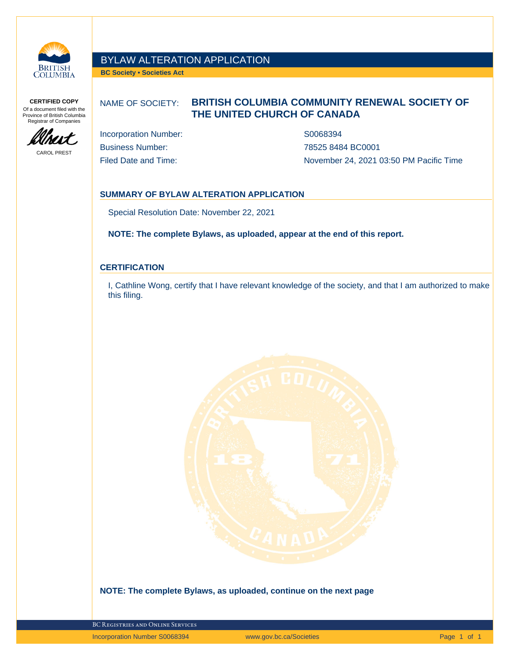

# BYLAW ALTERATION APPLICATION

**BC Society • Societies Act**

**CERTIFIED COPY** Of a document filed with the Province of British Columbia Registrar of Companies



CAROL PREST

## NAME OF SOCIETY: **BRITISH COLUMBIA COMMUNITY RENEWAL SOCIETY OF THE UNITED CHURCH OF CANADA**

Incorporation Number: S0068394 Business Number: 78525 8484 BC0001

Filed Date and Time: The State of Time November 24, 2021 03:50 PM Pacific Time

## **SUMMARY OF BYLAW ALTERATION APPLICATION**

Special Resolution Date: November 22, 2021

**NOTE: The complete Bylaws, as uploaded, appear at the end of this report.**

### **CERTIFICATION**

I, Cathline Wong, certify that I have relevant knowledge of the society, and that I am authorized to make this filing.



**NOTE: The complete Bylaws, as uploaded, continue on the next page**

BC Registries and Online Services

Incorporation Number S0068394 www.gov.bc.ca/Societies Page 1 of 1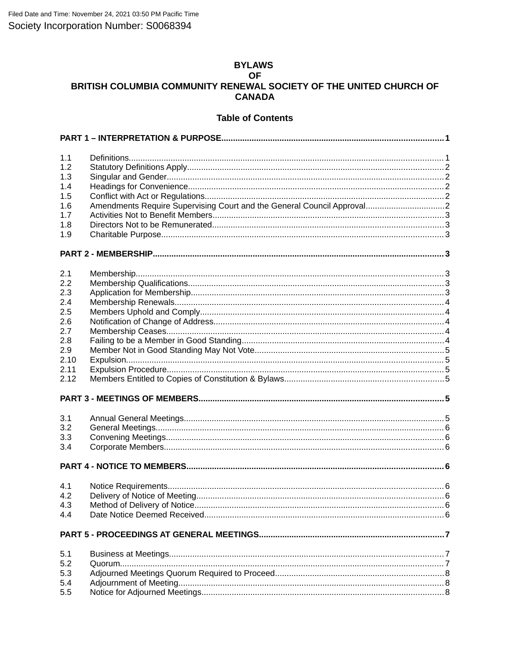## **BYLAWS**

## **OF** BRITISH COLUMBIA COMMUNITY RENEWAL SOCIETY OF THE UNITED CHURCH OF **CANADA**

## **Table of Contents**

| 1.1<br>1.2<br>1.3<br>1.4<br>1.5<br>1.6<br>1.7<br>1.8<br>1.9                         |  |  |  |  |  |
|-------------------------------------------------------------------------------------|--|--|--|--|--|
|                                                                                     |  |  |  |  |  |
| 2.1<br>2.2<br>2.3<br>2.4<br>2.5<br>2.6<br>2.7<br>2.8<br>2.9<br>2.10<br>2.11<br>2.12 |  |  |  |  |  |
|                                                                                     |  |  |  |  |  |
| 3.1<br>3.2<br>3.3<br>3.4                                                            |  |  |  |  |  |
|                                                                                     |  |  |  |  |  |
| 4.1<br>4.2<br>4.3<br>4.4                                                            |  |  |  |  |  |
|                                                                                     |  |  |  |  |  |
| 5.1<br>5.2<br>5.3<br>5.4<br>5.5                                                     |  |  |  |  |  |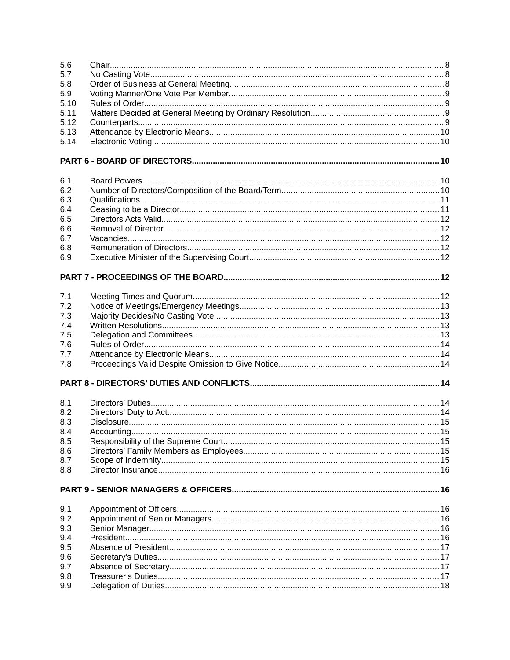| 5.6<br>5.7<br>5.8<br>5.9<br>5.10<br>5.11<br>5.12<br>5.13<br>5.14 |  |  |  |  |  |  |
|------------------------------------------------------------------|--|--|--|--|--|--|
|                                                                  |  |  |  |  |  |  |
| 6.1                                                              |  |  |  |  |  |  |
| 6.2                                                              |  |  |  |  |  |  |
| 6.3                                                              |  |  |  |  |  |  |
| 6.4                                                              |  |  |  |  |  |  |
| 6.5                                                              |  |  |  |  |  |  |
| 6.6                                                              |  |  |  |  |  |  |
| 6.7                                                              |  |  |  |  |  |  |
| 6.8                                                              |  |  |  |  |  |  |
| 6.9                                                              |  |  |  |  |  |  |
|                                                                  |  |  |  |  |  |  |
| 7.1                                                              |  |  |  |  |  |  |
| 7.2                                                              |  |  |  |  |  |  |
| 7.3                                                              |  |  |  |  |  |  |
| 7.4                                                              |  |  |  |  |  |  |
| 7.5                                                              |  |  |  |  |  |  |
| 7.6                                                              |  |  |  |  |  |  |
| 7.7                                                              |  |  |  |  |  |  |
| 7.8                                                              |  |  |  |  |  |  |
|                                                                  |  |  |  |  |  |  |
| 8.1                                                              |  |  |  |  |  |  |
| 8.2                                                              |  |  |  |  |  |  |
| 8.3                                                              |  |  |  |  |  |  |
| 8.4                                                              |  |  |  |  |  |  |
| 8.5                                                              |  |  |  |  |  |  |
| 8.6                                                              |  |  |  |  |  |  |
| 8.7                                                              |  |  |  |  |  |  |
| 8.8                                                              |  |  |  |  |  |  |
|                                                                  |  |  |  |  |  |  |
| 9.1                                                              |  |  |  |  |  |  |
| 9.2                                                              |  |  |  |  |  |  |
| 9.3                                                              |  |  |  |  |  |  |
| 9.4                                                              |  |  |  |  |  |  |
| 9.5                                                              |  |  |  |  |  |  |
| 9.6                                                              |  |  |  |  |  |  |
| 9.7                                                              |  |  |  |  |  |  |
| 9.8                                                              |  |  |  |  |  |  |
| 9.9                                                              |  |  |  |  |  |  |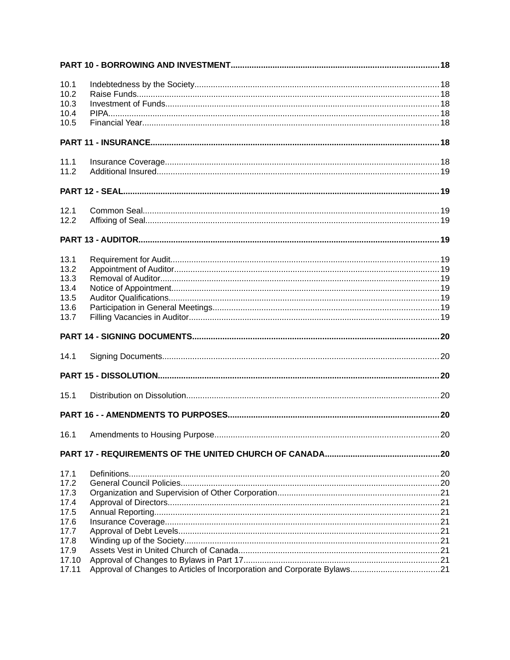| 10.1         |  |  |  |  |
|--------------|--|--|--|--|
| 10.2         |  |  |  |  |
| 10.3         |  |  |  |  |
| 10.4         |  |  |  |  |
| 10.5         |  |  |  |  |
|              |  |  |  |  |
| 11.1         |  |  |  |  |
| 11.2         |  |  |  |  |
|              |  |  |  |  |
| 12.1         |  |  |  |  |
| 12.2         |  |  |  |  |
|              |  |  |  |  |
| 13.1         |  |  |  |  |
| 13.2         |  |  |  |  |
| 13.3         |  |  |  |  |
| 13.4         |  |  |  |  |
| 13.5         |  |  |  |  |
| 13.6         |  |  |  |  |
| 13.7         |  |  |  |  |
|              |  |  |  |  |
| 14.1         |  |  |  |  |
|              |  |  |  |  |
| 15.1         |  |  |  |  |
|              |  |  |  |  |
|              |  |  |  |  |
|              |  |  |  |  |
| 17.1         |  |  |  |  |
| 17.2         |  |  |  |  |
| 17.3         |  |  |  |  |
| 17.4         |  |  |  |  |
| 17.5         |  |  |  |  |
| 17.6         |  |  |  |  |
| 17.7<br>17.8 |  |  |  |  |
| 17.9         |  |  |  |  |
| 17.10        |  |  |  |  |
| 17.11        |  |  |  |  |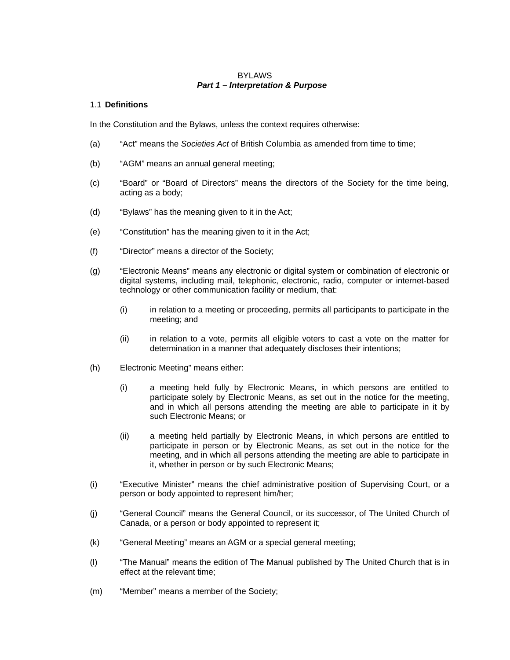## <span id="page-4-1"></span>BYLAWS *Part 1 – Interpretation & Purpose*

### <span id="page-4-0"></span>1.1 **Definitions**

In the Constitution and the Bylaws, unless the context requires otherwise:

- (a) "Act" means the *Societies Act* of British Columbia as amended from time to time;
- (b) "AGM" means an annual general meeting;
- (c) "Board" or "Board of Directors" means the directors of the Society for the time being, acting as a body;
- (d) "Bylaws" has the meaning given to it in the Act;
- (e) "Constitution" has the meaning given to it in the Act;
- (f) "Director" means a director of the Society;
- (g) "Electronic Means" means any electronic or digital system or combination of electronic or digital systems, including mail, telephonic, electronic, radio, computer or internet-based technology or other communication facility or medium, that:
	- (i) in relation to a meeting or proceeding, permits all participants to participate in the meeting; and
	- (ii) in relation to a vote, permits all eligible voters to cast a vote on the matter for determination in a manner that adequately discloses their intentions;
- (h) Electronic Meeting" means either:
	- (i) a meeting held fully by Electronic Means, in which persons are entitled to participate solely by Electronic Means, as set out in the notice for the meeting, and in which all persons attending the meeting are able to participate in it by such Electronic Means; or
	- (ii) a meeting held partially by Electronic Means, in which persons are entitled to participate in person or by Electronic Means, as set out in the notice for the meeting, and in which all persons attending the meeting are able to participate in it, whether in person or by such Electronic Means;
- (i) "Executive Minister" means the chief administrative position of Supervising Court, or a person or body appointed to represent him/her;
- (j) "General Council" means the General Council, or its successor, of The United Church of Canada, or a person or body appointed to represent it;
- (k) "General Meeting" means an AGM or a special general meeting;
- (l) "The Manual" means the edition of The Manual published by The United Church that is in effect at the relevant time;
- (m) "Member" means a member of the Society;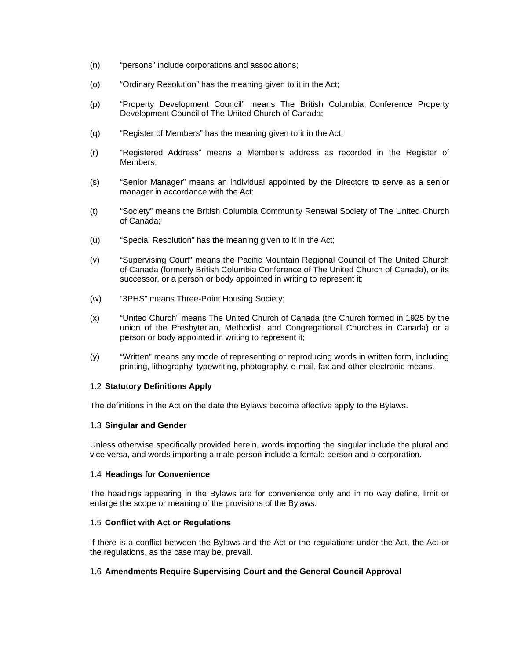- (n) "persons" include corporations and associations;
- (o) "Ordinary Resolution" has the meaning given to it in the Act;
- (p) "Property Development Council" means The British Columbia Conference Property Development Council of The United Church of Canada;
- (q) "Register of Members" has the meaning given to it in the Act;
- (r) "Registered Address" means a Member's address as recorded in the Register of Members;
- (s) "Senior Manager" means an individual appointed by the Directors to serve as a senior manager in accordance with the Act;
- (t) "Society" means the British Columbia Community Renewal Society of The United Church of Canada;
- (u) "Special Resolution" has the meaning given to it in the Act;
- (v) "Supervising Court" means the Pacific Mountain Regional Council of The United Church of Canada (formerly British Columbia Conference of The United Church of Canada), or its successor, or a person or body appointed in writing to represent it;
- (w) "3PHS" means Three-Point Housing Society;
- (x) "United Church" means The United Church of Canada (the Church formed in 1925 by the union of the Presbyterian, Methodist, and Congregational Churches in Canada) or a person or body appointed in writing to represent it;
- (y) "Written" means any mode of representing or reproducing words in written form, including printing, lithography, typewriting, photography, e-mail, fax and other electronic means.

## <span id="page-5-4"></span>1.2 **Statutory Definitions Apply**

The definitions in the Act on the date the Bylaws become effective apply to the Bylaws.

## <span id="page-5-3"></span>1.3 **Singular and Gender**

Unless otherwise specifically provided herein, words importing the singular include the plural and vice versa, and words importing a male person include a female person and a corporation.

## <span id="page-5-2"></span>1.4 **Headings for Convenience**

The headings appearing in the Bylaws are for convenience only and in no way define, limit or enlarge the scope or meaning of the provisions of the Bylaws.

## <span id="page-5-1"></span>1.5 **Conflict with Act or Regulations**

If there is a conflict between the Bylaws and the Act or the regulations under the Act, the Act or the regulations, as the case may be, prevail.

## <span id="page-5-0"></span>1.6 **Amendments Require Supervising Court and the General Council Approval**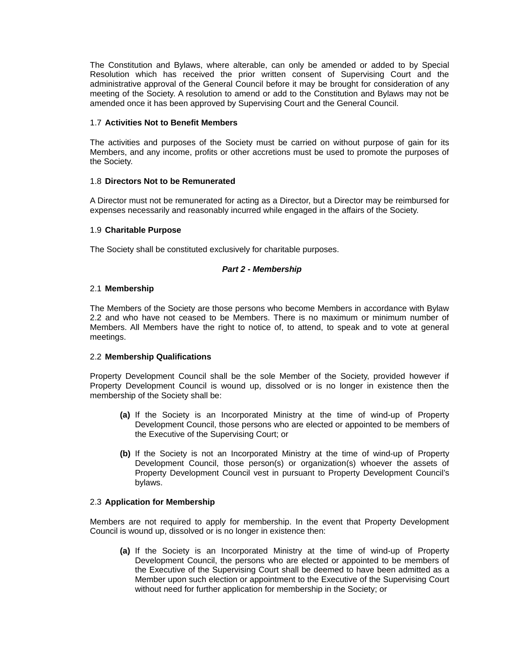The Constitution and Bylaws, where alterable, can only be amended or added to by Special Resolution which has received the prior written consent of Supervising Court and the administrative approval of the General Council before it may be brought for consideration of any meeting of the Society. A resolution to amend or add to the Constitution and Bylaws may not be amended once it has been approved by Supervising Court and the General Council.

## <span id="page-6-6"></span>1.7 **Activities Not to Benefit Members**

The activities and purposes of the Society must be carried on without purpose of gain for its Members, and any income, profits or other accretions must be used to promote the purposes of the Society.

## <span id="page-6-5"></span>1.8 **Directors Not to be Remunerated**

A Director must not be remunerated for acting as a Director, but a Director may be reimbursed for expenses necessarily and reasonably incurred while engaged in the affairs of the Society.

## <span id="page-6-4"></span>1.9 **Charitable Purpose**

The Society shall be constituted exclusively for charitable purposes.

## <span id="page-6-3"></span>*Part 2 - Membership*

## <span id="page-6-2"></span>2.1 **Membership**

The Members of the Society are those persons who become Members in accordance with Bylaw [2.2](#page-6-1) and who have not ceased to be Members. There is no maximum or minimum number of Members. All Members have the right to notice of, to attend, to speak and to vote at general meetings.

## <span id="page-6-1"></span>2.2 **Membership Qualifications**

Property Development Council shall be the sole Member of the Society, provided however if Property Development Council is wound up, dissolved or is no longer in existence then the membership of the Society shall be:

- <span id="page-6-7"></span>**(a)** If the Society is an Incorporated Ministry at the time of wind-up of Property Development Council, those persons who are elected or appointed to be members of the Executive of the Supervising Court; or
- **(b)** If the Society is not an Incorporated Ministry at the time of wind-up of Property Development Council, those person(s) or organization(s) whoever the assets of Property Development Council vest in pursuant to Property Development Council's bylaws.

## <span id="page-6-0"></span>2.3 **Application for Membership**

Members are not required to apply for membership. In the event that Property Development Council is wound up, dissolved or is no longer in existence then:

**(a)** If the Society is an Incorporated Ministry at the time of wind-up of Property Development Council, the persons who are elected or appointed to be members of the Executive of the Supervising Court shall be deemed to have been admitted as a Member upon such election or appointment to the Executive of the Supervising Court without need for further application for membership in the Society; or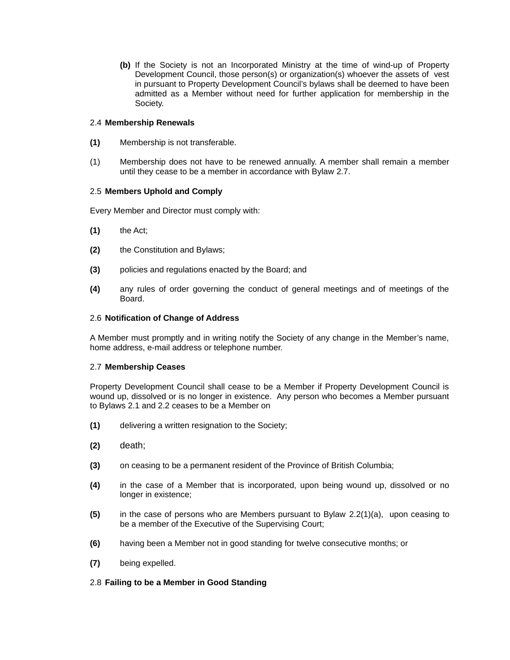**(b)** If the Society is not an Incorporated Ministry at the time of wind-up of Property Development Council, those person(s) or organization(s) whoever the assets of vest in pursuant to Property Development Council's bylaws shall be deemed to have been admitted as a Member without need for further application for membership in the Society.

## <span id="page-7-0"></span>2.4 **Membership Renewals**

- **(1)** Membership is not transferable.
- (1) Membership does not have to be renewed annually. A member shall remain a member until they cease to be a member in accordance with Bylaw [2.7.](#page-7-2)

## <span id="page-7-4"></span>2.5 **Members Uphold and Comply**

Every Member and Director must comply with:

- **(1)** the Act;
- **(2)** the Constitution and Bylaws;
- **(3)** policies and regulations enacted by the Board; and
- **(4)** any rules of order governing the conduct of general meetings and of meetings of the Board.

## <span id="page-7-3"></span>2.6 **Notification of Change of Address**

A Member must promptly and in writing notify the Society of any change in the Member's name, home address, e-mail address or telephone number.

## <span id="page-7-2"></span>2.7 **Membership Ceases**

Property Development Council shall cease to be a Member if Property Development Council is wound up, dissolved or is no longer in existence. Any person who becomes a Member pursuant to Bylaws [2.1](#page-6-2) and [2.2](#page-6-1) ceases to be a Member on

- **(1)** delivering a written resignation to the Society;
- **(2)** death;
- **(3)** on ceasing to be a permanent resident of the Province of British Columbia;
- **(4)** in the case of a Member that is incorporated, upon being wound up, dissolved or no longer in existence;
- **(5)** in the case of persons who are Members pursuant to Bylaw [2.2\(1\)\(a\),](#page-6-7) upon ceasing to be a member of the Executive of the Supervising Court;
- **(6)** having been a Member not in good standing for twelve consecutive months; or
- **(7)** being expelled.

## <span id="page-7-1"></span>2.8 **Failing to be a Member in Good Standing**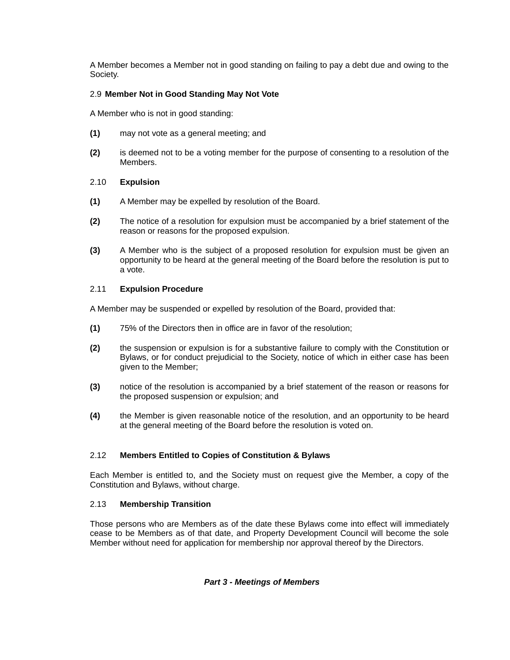A Member becomes a Member not in good standing on failing to pay a debt due and owing to the Society.

## <span id="page-8-4"></span>2.9 **Member Not in Good Standing May Not Vote**

A Member who is not in good standing:

- **(1)** may not vote as a general meeting; and
- **(2)** is deemed not to be a voting member for the purpose of consenting to a resolution of the Members.

## <span id="page-8-3"></span>2.10 **Expulsion**

- **(1)** A Member may be expelled by resolution of the Board.
- **(2)** The notice of a resolution for expulsion must be accompanied by a brief statement of the reason or reasons for the proposed expulsion.
- **(3)** A Member who is the subject of a proposed resolution for expulsion must be given an opportunity to be heard at the general meeting of the Board before the resolution is put to a vote.

## <span id="page-8-2"></span>2.11 **Expulsion Procedure**

A Member may be suspended or expelled by resolution of the Board, provided that:

- **(1)** 75% of the Directors then in office are in favor of the resolution;
- **(2)** the suspension or expulsion is for a substantive failure to comply with the Constitution or Bylaws, or for conduct prejudicial to the Society, notice of which in either case has been given to the Member;
- **(3)** notice of the resolution is accompanied by a brief statement of the reason or reasons for the proposed suspension or expulsion; and
- **(4)** the Member is given reasonable notice of the resolution, and an opportunity to be heard at the general meeting of the Board before the resolution is voted on.

## <span id="page-8-1"></span>2.12 **Members Entitled to Copies of Constitution & Bylaws**

Each Member is entitled to, and the Society must on request give the Member, a copy of the Constitution and Bylaws, without charge.

## 2.13 **Membership Transition**

Those persons who are Members as of the date these Bylaws come into effect will immediately cease to be Members as of that date, and Property Development Council will become the sole Member without need for application for membership nor approval thereof by the Directors.

## <span id="page-8-0"></span>*Part 3 - Meetings of Members*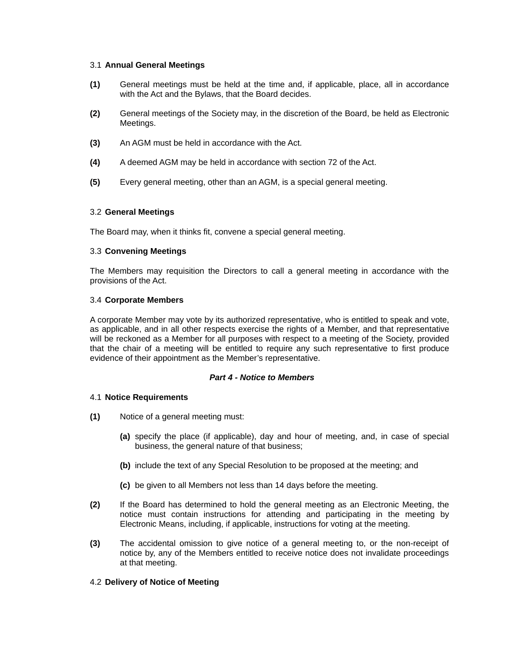### <span id="page-9-6"></span>3.1 **Annual General Meetings**

- **(1)** General meetings must be held at the time and, if applicable, place, all in accordance with the Act and the Bylaws, that the Board decides.
- **(2)** General meetings of the Society may, in the discretion of the Board, be held as Electronic Meetings.
- **(3)** An AGM must be held in accordance with the Act.
- **(4)** A deemed AGM may be held in accordance with section 72 of the Act.
- **(5)** Every general meeting, other than an AGM, is a special general meeting.

## <span id="page-9-5"></span>3.2 **General Meetings**

The Board may, when it thinks fit, convene a special general meeting.

## <span id="page-9-4"></span>3.3 **Convening Meetings**

The Members may requisition the Directors to call a general meeting in accordance with the provisions of the Act.

## <span id="page-9-3"></span>3.4 **Corporate Members**

A corporate Member may vote by its authorized representative, who is entitled to speak and vote, as applicable, and in all other respects exercise the rights of a Member, and that representative will be reckoned as a Member for all purposes with respect to a meeting of the Society, provided that the chair of a meeting will be entitled to require any such representative to first produce evidence of their appointment as the Member's representative.

## <span id="page-9-2"></span>*Part 4 - Notice to Members*

## <span id="page-9-1"></span>4.1 **Notice Requirements**

- <span id="page-9-7"></span>**(1)** Notice of a general meeting must:
	- **(a)** specify the place (if applicable), day and hour of meeting, and, in case of special business, the general nature of that business;
	- **(b)** include the text of any Special Resolution to be proposed at the meeting; and
	- **(c)** be given to all Members not less than 14 days before the meeting.
- **(2)** If the Board has determined to hold the general meeting as an Electronic Meeting, the notice must contain instructions for attending and participating in the meeting by Electronic Means, including, if applicable, instructions for voting at the meeting.
- **(3)** The accidental omission to give notice of a general meeting to, or the non-receipt of notice by, any of the Members entitled to receive notice does not invalidate proceedings at that meeting.

## <span id="page-9-0"></span>4.2 **Delivery of Notice of Meeting**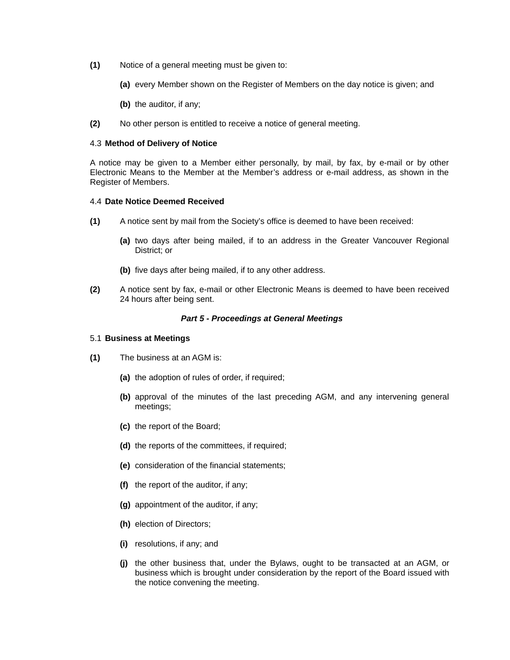- **(1)** Notice of a general meeting must be given to:
	- **(a)** every Member shown on the Register of Members on the day notice is given; and
	- **(b)** the auditor, if any;
- **(2)** No other person is entitled to receive a notice of general meeting.

### <span id="page-10-3"></span>4.3 **Method of Delivery of Notice**

A notice may be given to a Member either personally, by mail, by fax, by e-mail or by other Electronic Means to the Member at the Member's address or e-mail address, as shown in the Register of Members.

#### <span id="page-10-2"></span>4.4 **Date Notice Deemed Received**

- **(1)** A notice sent by mail from the Society's office is deemed to have been received:
	- **(a)** two days after being mailed, if to an address in the Greater Vancouver Regional District; or
	- **(b)** five days after being mailed, if to any other address.
- **(2)** A notice sent by fax, e-mail or other Electronic Means is deemed to have been received 24 hours after being sent.

#### <span id="page-10-1"></span>*Part 5 - Proceedings at General Meetings*

#### <span id="page-10-0"></span>5.1 **Business at Meetings**

- **(1)** The business at an AGM is:
	- **(a)** the adoption of rules of order, if required;
	- **(b)** approval of the minutes of the last preceding AGM, and any intervening general meetings;
	- **(c)** the report of the Board;
	- **(d)** the reports of the committees, if required;
	- **(e)** consideration of the financial statements;
	- **(f)** the report of the auditor, if any;
	- **(g)** appointment of the auditor, if any;
	- **(h)** election of Directors;
	- **(i)** resolutions, if any; and
	- **(j)** the other business that, under the Bylaws, ought to be transacted at an AGM, or business which is brought under consideration by the report of the Board issued with the notice convening the meeting.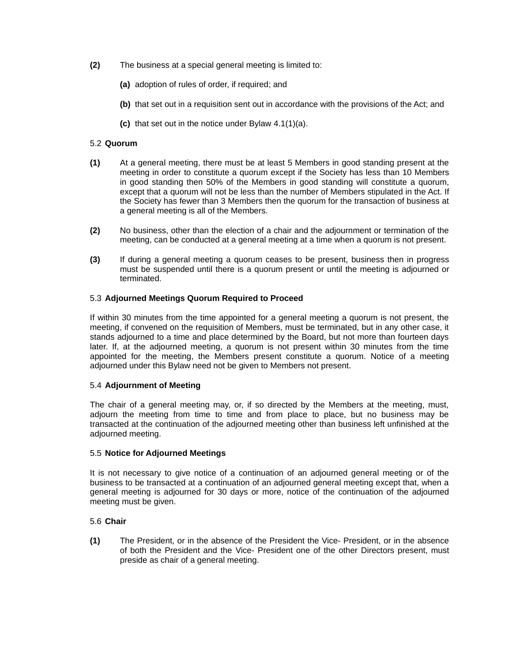- **(2)** The business at a special general meeting is limited to:
	- **(a)** adoption of rules of order, if required; and
	- **(b)** that set out in a requisition sent out in accordance with the provisions of the Act; and
	- **(c)** that set out in the notice under Bylaw [4.1\(1\)\(a\).](#page-9-7)

## <span id="page-11-3"></span>5.2 **Quorum**

- **(1)** At a general meeting, there must be at least 5 Members in good standing present at the meeting in order to constitute a quorum except if the Society has less than 10 Members in good standing then 50% of the Members in good standing will constitute a quorum, except that a quorum will not be less than the number of Members stipulated in the Act. If the Society has fewer than 3 Members then the quorum for the transaction of business at a general meeting is all of the Members.
- **(2)** No business, other than the election of a chair and the adjournment or termination of the meeting, can be conducted at a general meeting at a time when a quorum is not present.
- **(3)** If during a general meeting a quorum ceases to be present, business then in progress must be suspended until there is a quorum present or until the meeting is adjourned or terminated.

## <span id="page-11-2"></span>5.3 **Adjourned Meetings Quorum Required to Proceed**

If within 30 minutes from the time appointed for a general meeting a quorum is not present, the meeting, if convened on the requisition of Members, must be terminated, but in any other case, it stands adjourned to a time and place determined by the Board, but not more than fourteen days later. If, at the adjourned meeting, a quorum is not present within 30 minutes from the time appointed for the meeting, the Members present constitute a quorum. Notice of a meeting adjourned under this Bylaw need not be given to Members not present.

## <span id="page-11-1"></span>5.4 **Adjournment of Meeting**

The chair of a general meeting may, or, if so directed by the Members at the meeting, must, adjourn the meeting from time to time and from place to place, but no business may be transacted at the continuation of the adjourned meeting other than business left unfinished at the adjourned meeting.

## <span id="page-11-0"></span>5.5 **Notice for Adjourned Meetings**

It is not necessary to give notice of a continuation of an adjourned general meeting or of the business to be transacted at a continuation of an adjourned general meeting except that, when a general meeting is adjourned for 30 days or more, notice of the continuation of the adjourned meeting must be given.

## <span id="page-11-4"></span>5.6 **Chair**

**(1)** The President, or in the absence of the President the Vice- President, or in the absence of both the President and the Vice- President one of the other Directors present, must preside as chair of a general meeting.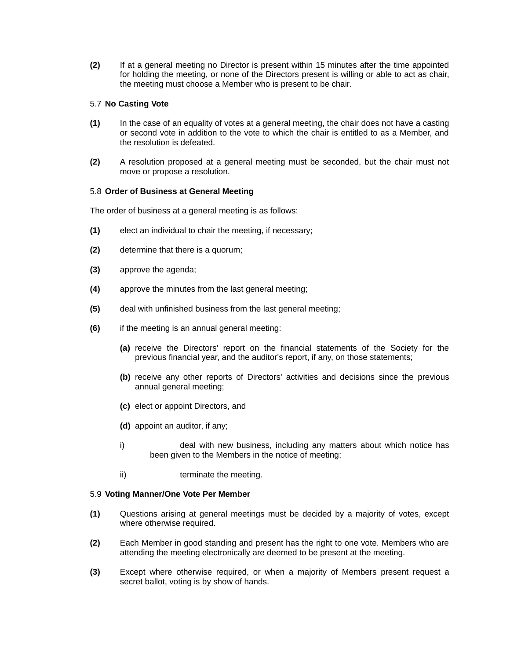**(2)** If at a general meeting no Director is present within 15 minutes after the time appointed for holding the meeting, or none of the Directors present is willing or able to act as chair, the meeting must choose a Member who is present to be chair.

## <span id="page-12-2"></span>5.7 **No Casting Vote**

- **(1)** In the case of an equality of votes at a general meeting, the chair does not have a casting or second vote in addition to the vote to which the chair is entitled to as a Member, and the resolution is defeated.
- **(2)** A resolution proposed at a general meeting must be seconded, but the chair must not move or propose a resolution.

## <span id="page-12-1"></span>5.8 **Order of Business at General Meeting**

The order of business at a general meeting is as follows:

- **(1)** elect an individual to chair the meeting, if necessary;
- **(2)** determine that there is a quorum;
- **(3)** approve the agenda;
- **(4)** approve the minutes from the last general meeting;
- **(5)** deal with unfinished business from the last general meeting;
- **(6)** if the meeting is an annual general meeting:
	- **(a)** receive the Directors' report on the financial statements of the Society for the previous financial year, and the auditor's report, if any, on those statements;
	- **(b)** receive any other reports of Directors' activities and decisions since the previous annual general meeting;
	- **(c)** elect or appoint Directors, and
	- **(d)** appoint an auditor, if any;
	- i) deal with new business, including any matters about which notice has been given to the Members in the notice of meeting;
	- ii) terminate the meeting.

## <span id="page-12-0"></span>5.9 **Voting Manner/One Vote Per Member**

- **(1)** Questions arising at general meetings must be decided by a majority of votes, except where otherwise required.
- **(2)** Each Member in good standing and present has the right to one vote. Members who are attending the meeting electronically are deemed to be present at the meeting.
- **(3)** Except where otherwise required, or when a majority of Members present request a secret ballot, voting is by show of hands.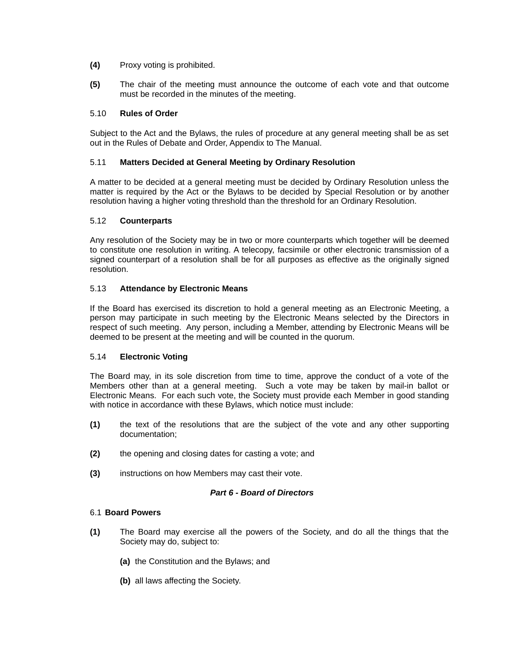- **(4)** Proxy voting is prohibited.
- **(5)** The chair of the meeting must announce the outcome of each vote and that outcome must be recorded in the minutes of the meeting.

## <span id="page-13-6"></span>5.10 **Rules of Order**

Subject to the Act and the Bylaws, the rules of procedure at any general meeting shall be as set out in the Rules of Debate and Order, Appendix to The Manual.

## <span id="page-13-5"></span>5.11 **Matters Decided at General Meeting by Ordinary Resolution**

A matter to be decided at a general meeting must be decided by Ordinary Resolution unless the matter is required by the Act or the Bylaws to be decided by Special Resolution or by another resolution having a higher voting threshold than the threshold for an Ordinary Resolution.

## <span id="page-13-4"></span>5.12 **Counterparts**

Any resolution of the Society may be in two or more counterparts which together will be deemed to constitute one resolution in writing. A telecopy, facsimile or other electronic transmission of a signed counterpart of a resolution shall be for all purposes as effective as the originally signed resolution.

## <span id="page-13-3"></span>5.13 **Attendance by Electronic Means**

If the Board has exercised its discretion to hold a general meeting as an Electronic Meeting, a person may participate in such meeting by the Electronic Means selected by the Directors in respect of such meeting. Any person, including a Member, attending by Electronic Means will be deemed to be present at the meeting and will be counted in the quorum.

## <span id="page-13-2"></span>5.14 **Electronic Voting**

The Board may, in its sole discretion from time to time, approve the conduct of a vote of the Members other than at a general meeting. Such a vote may be taken by mail-in ballot or Electronic Means. For each such vote, the Society must provide each Member in good standing with notice in accordance with these Bylaws, which notice must include:

- **(1)** the text of the resolutions that are the subject of the vote and any other supporting documentation;
- **(2)** the opening and closing dates for casting a vote; and
- **(3)** instructions on how Members may cast their vote.

## <span id="page-13-1"></span>*Part 6 - Board of Directors*

## <span id="page-13-0"></span>6.1 **Board Powers**

- **(1)** The Board may exercise all the powers of the Society, and do all the things that the Society may do, subject to:
	- **(a)** the Constitution and the Bylaws; and
	- **(b)** all laws affecting the Society.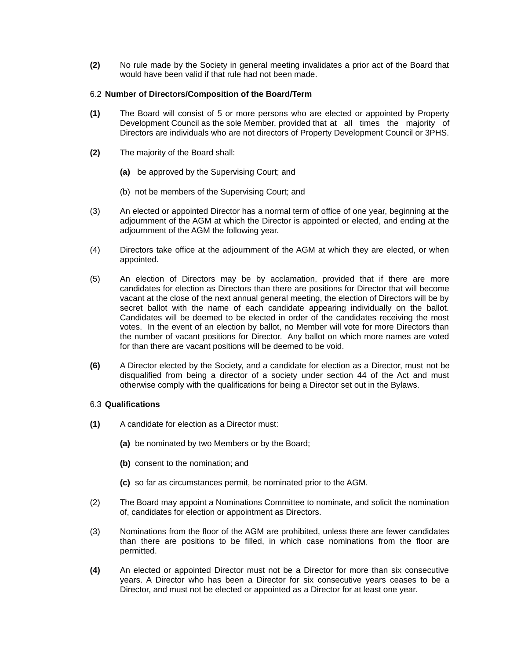**(2)** No rule made by the Society in general meeting invalidates a prior act of the Board that would have been valid if that rule had not been made.

## <span id="page-14-1"></span>6.2 **Number of Directors/Composition of the Board/Term**

- <span id="page-14-2"></span>**(1)** The Board will consist of 5 or more persons who are elected or appointed by Property Development Council as the sole Member, provided that at all times the majority of Directors are individuals who are not directors of Property Development Council or 3PHS.
- **(2)** The majority of the Board shall:
	- **(a)** be approved by the Supervising Court; and
	- (b) not be members of the Supervising Court; and
- (3) An elected or appointed Director has a normal term of office of one year, beginning at the adjournment of the AGM at which the Director is appointed or elected, and ending at the adjournment of the AGM the following year.
- (4) Directors take office at the adjournment of the AGM at which they are elected, or when appointed.
- (5) An election of Directors may be by acclamation, provided that if there are more candidates for election as Directors than there are positions for Director that will become vacant at the close of the next annual general meeting, the election of Directors will be by secret ballot with the name of each candidate appearing individually on the ballot. Candidates will be deemed to be elected in order of the candidates receiving the most votes. In the event of an election by ballot, no Member will vote for more Directors than the number of vacant positions for Director. Any ballot on which more names are voted for than there are vacant positions will be deemed to be void.
- **(6)** A Director elected by the Society, and a candidate for election as a Director, must not be disqualified from being a director of a society under section 44 of the Act and must otherwise comply with the qualifications for being a Director set out in the Bylaws.

#### <span id="page-14-0"></span>6.3 **Qualifications**

- **(1)** A candidate for election as a Director must:
	- **(a)** be nominated by two Members or by the Board;
	- **(b)** consent to the nomination; and
	- **(c)** so far as circumstances permit, be nominated prior to the AGM.
- (2) The Board may appoint a Nominations Committee to nominate, and solicit the nomination of, candidates for election or appointment as Directors.
- (3) Nominations from the floor of the AGM are prohibited, unless there are fewer candidates than there are positions to be filled, in which case nominations from the floor are permitted.
- **(4)** An elected or appointed Director must not be a Director for more than six consecutive years. A Director who has been a Director for six consecutive years ceases to be a Director, and must not be elected or appointed as a Director for at least one year.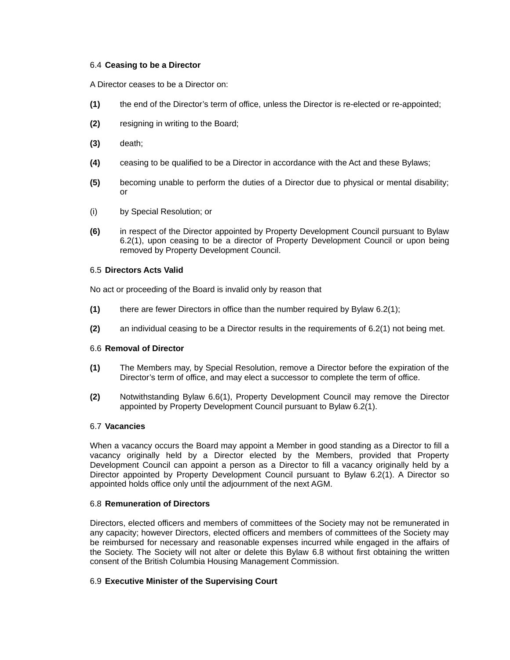## <span id="page-15-4"></span>6.4 **Ceasing to be a Director**

A Director ceases to be a Director on:

- **(1)** the end of the Director's term of office, unless the Director is re-elected or re-appointed;
- **(2)** resigning in writing to the Board;
- **(3)** death;
- **(4)** ceasing to be qualified to be a Director in accordance with the Act and these Bylaws;
- **(5)** becoming unable to perform the duties of a Director due to physical or mental disability; or
- (i) by Special Resolution; or
- **(6)** in respect of the Director appointed by Property Development Council pursuant to Bylaw 6.2(1), upon ceasing to be a director of Property Development Council or upon being removed by Property Development Council.

## <span id="page-15-3"></span>6.5 **Directors Acts Valid**

No act or proceeding of the Board is invalid only by reason that

- **(1)** there are fewer Directors in office than the number required by Bylaw [6.2\(1\);](#page-14-2)
- **(2)** an individual ceasing to be a Director results in the requirements of [6.2\(1\)](#page-14-2) not being met.

## <span id="page-15-2"></span>6.6 **Removal of Director**

- **(1)** The Members may, by Special Resolution, remove a Director before the expiration of the Director's term of office, and may elect a successor to complete the term of office.
- **(2)** Notwithstanding Bylaw 6.6(1), Property Development Council may remove the Director appointed by Property Development Council pursuant to Bylaw 6.2(1).

## <span id="page-15-1"></span>6.7 **Vacancies**

When a vacancy occurs the Board may appoint a Member in good standing as a Director to fill a vacancy originally held by a Director elected by the Members, provided that Property Development Council can appoint a person as a Director to fill a vacancy originally held by a Director appointed by Property Development Council pursuant to Bylaw 6.2(1). A Director so appointed holds office only until the adjournment of the next AGM.

## <span id="page-15-5"></span>6.8 **Remuneration of Directors**

Directors, elected officers and members of committees of the Society may not be remunerated in any capacity; however Directors, elected officers and members of committees of the Society may be reimbursed for necessary and reasonable expenses incurred while engaged in the affairs of the Society. The Society will not alter or delete this Bylaw [6.8](#page-15-5) without first obtaining the written consent of the British Columbia Housing Management Commission.

## <span id="page-15-0"></span>6.9 **Executive Minister of the Supervising Court**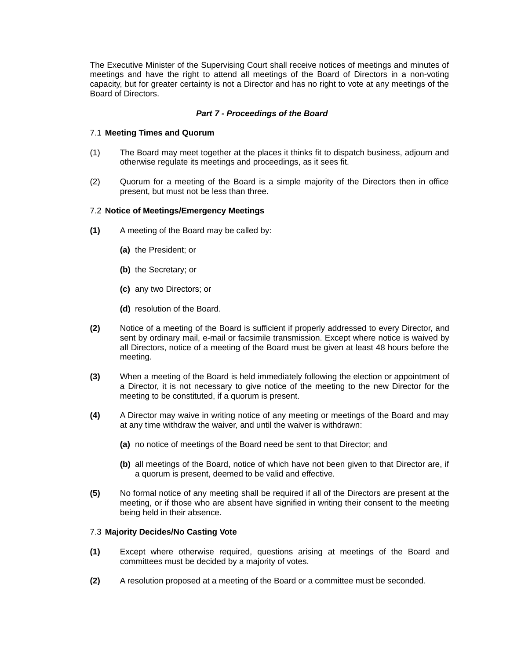The Executive Minister of the Supervising Court shall receive notices of meetings and minutes of meetings and have the right to attend all meetings of the Board of Directors in a non-voting capacity, but for greater certainty is not a Director and has no right to vote at any meetings of the Board of Directors.

## <span id="page-16-3"></span>*Part 7 - Proceedings of the Board*

### <span id="page-16-2"></span>7.1 **Meeting Times and Quorum**

- (1) The Board may meet together at the places it thinks fit to dispatch business, adjourn and otherwise regulate its meetings and proceedings, as it sees fit.
- (2) Quorum for a meeting of the Board is a simple majority of the Directors then in office present, but must not be less than three.

#### <span id="page-16-1"></span>7.2 **Notice of Meetings/Emergency Meetings**

- **(1)** A meeting of the Board may be called by:
	- **(a)** the President; or
	- **(b)** the Secretary; or
	- **(c)** any two Directors; or
	- **(d)** resolution of the Board.
- **(2)** Notice of a meeting of the Board is sufficient if properly addressed to every Director, and sent by ordinary mail, e-mail or facsimile transmission. Except where notice is waived by all Directors, notice of a meeting of the Board must be given at least 48 hours before the meeting.
- **(3)** When a meeting of the Board is held immediately following the election or appointment of a Director, it is not necessary to give notice of the meeting to the new Director for the meeting to be constituted, if a quorum is present.
- **(4)** A Director may waive in writing notice of any meeting or meetings of the Board and may at any time withdraw the waiver, and until the waiver is withdrawn:
	- **(a)** no notice of meetings of the Board need be sent to that Director; and
	- **(b)** all meetings of the Board, notice of which have not been given to that Director are, if a quorum is present, deemed to be valid and effective.
- **(5)** No formal notice of any meeting shall be required if all of the Directors are present at the meeting, or if those who are absent have signified in writing their consent to the meeting being held in their absence.

#### <span id="page-16-0"></span>7.3 **Majority Decides/No Casting Vote**

- **(1)** Except where otherwise required, questions arising at meetings of the Board and committees must be decided by a majority of votes.
- **(2)** A resolution proposed at a meeting of the Board or a committee must be seconded.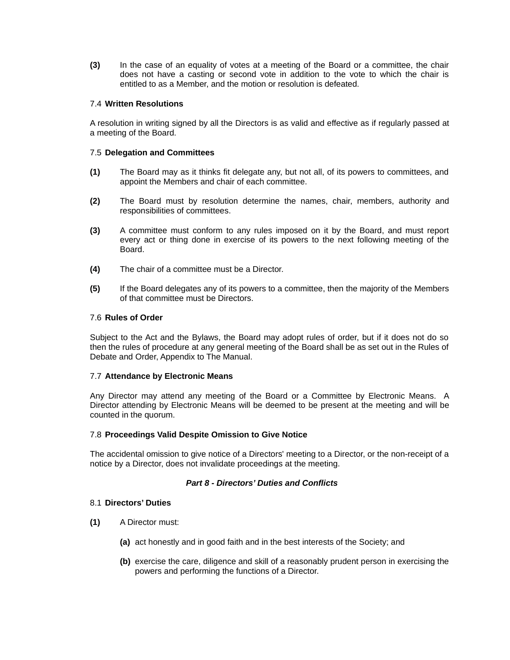**(3)** In the case of an equality of votes at a meeting of the Board or a committee, the chair does not have a casting or second vote in addition to the vote to which the chair is entitled to as a Member, and the motion or resolution is defeated.

### <span id="page-17-6"></span>7.4 **Written Resolutions**

A resolution in writing signed by all the Directors is as valid and effective as if regularly passed at a meeting of the Board.

#### <span id="page-17-5"></span>7.5 **Delegation and Committees**

- **(1)** The Board may as it thinks fit delegate any, but not all, of its powers to committees, and appoint the Members and chair of each committee.
- **(2)** The Board must by resolution determine the names, chair, members, authority and responsibilities of committees.
- **(3)** A committee must conform to any rules imposed on it by the Board, and must report every act or thing done in exercise of its powers to the next following meeting of the Board.
- **(4)** The chair of a committee must be a Director.
- **(5)** If the Board delegates any of its powers to a committee, then the majority of the Members of that committee must be Directors.

#### <span id="page-17-4"></span>7.6 **Rules of Order**

Subject to the Act and the Bylaws, the Board may adopt rules of order, but if it does not do so then the rules of procedure at any general meeting of the Board shall be as set out in the Rules of Debate and Order, Appendix to The Manual.

#### <span id="page-17-3"></span>7.7 **Attendance by Electronic Means**

Any Director may attend any meeting of the Board or a Committee by Electronic Means. A Director attending by Electronic Means will be deemed to be present at the meeting and will be counted in the quorum.

#### <span id="page-17-2"></span>7.8 **Proceedings Valid Despite Omission to Give Notice**

The accidental omission to give notice of a Directors' meeting to a Director, or the non-receipt of a notice by a Director, does not invalidate proceedings at the meeting.

## <span id="page-17-1"></span>*Part 8 - Directors' Duties and Conflicts*

#### <span id="page-17-0"></span>8.1 **Directors' Duties**

- **(1)** A Director must:
	- **(a)** act honestly and in good faith and in the best interests of the Society; and
	- **(b)** exercise the care, diligence and skill of a reasonably prudent person in exercising the powers and performing the functions of a Director.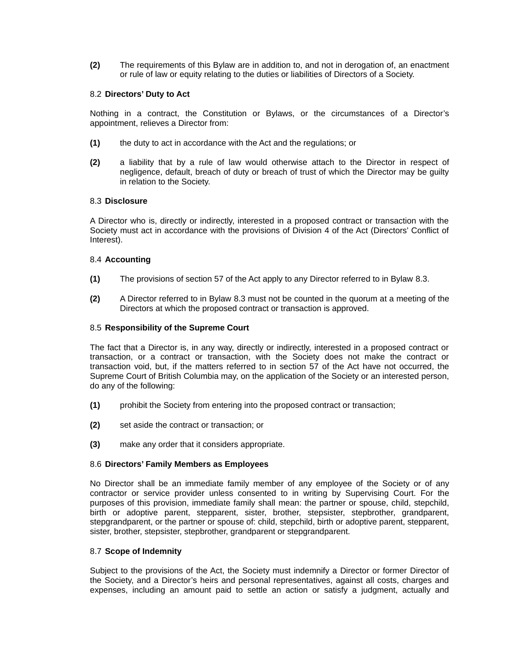**(2)** The requirements of this Bylaw are in addition to, and not in derogation of, an enactment or rule of law or equity relating to the duties or liabilities of Directors of a Society.

## <span id="page-18-5"></span>8.2 **Directors' Duty to Act**

Nothing in a contract, the Constitution or Bylaws, or the circumstances of a Director's appointment, relieves a Director from:

- **(1)** the duty to act in accordance with the Act and the regulations; or
- **(2)** a liability that by a rule of law would otherwise attach to the Director in respect of negligence, default, breach of duty or breach of trust of which the Director may be guilty in relation to the Society.

## <span id="page-18-4"></span>8.3 **Disclosure**

A Director who is, directly or indirectly, interested in a proposed contract or transaction with the Society must act in accordance with the provisions of Division 4 of the Act (Directors' Conflict of Interest).

## <span id="page-18-3"></span>8.4 **Accounting**

- **(1)** The provisions of section 57 of the Act apply to any Director referred to in Bylaw [8.3.](#page-18-4)
- **(2)** A Director referred to in Bylaw [8.3](#page-18-4) must not be counted in the quorum at a meeting of the Directors at which the proposed contract or transaction is approved.

## <span id="page-18-2"></span>8.5 **Responsibility of the Supreme Court**

The fact that a Director is, in any way, directly or indirectly, interested in a proposed contract or transaction, or a contract or transaction, with the Society does not make the contract or transaction void, but, if the matters referred to in section 57 of the Act have not occurred, the Supreme Court of British Columbia may, on the application of the Society or an interested person, do any of the following:

- **(1)** prohibit the Society from entering into the proposed contract or transaction;
- **(2)** set aside the contract or transaction; or
- **(3)** make any order that it considers appropriate.

## <span id="page-18-1"></span>8.6 **Directors' Family Members as Employees**

No Director shall be an immediate family member of any employee of the Society or of any contractor or service provider unless consented to in writing by Supervising Court. For the purposes of this provision, immediate family shall mean: the partner or spouse, child, stepchild, birth or adoptive parent, stepparent, sister, brother, stepsister, stepbrother, grandparent, stepgrandparent, or the partner or spouse of: child, stepchild, birth or adoptive parent, stepparent, sister, brother, stepsister, stepbrother, grandparent or stepgrandparent.

## <span id="page-18-0"></span>8.7 **Scope of Indemnity**

Subject to the provisions of the Act, the Society must indemnify a Director or former Director of the Society, and a Director's heirs and personal representatives, against all costs, charges and expenses, including an amount paid to settle an action or satisfy a judgment, actually and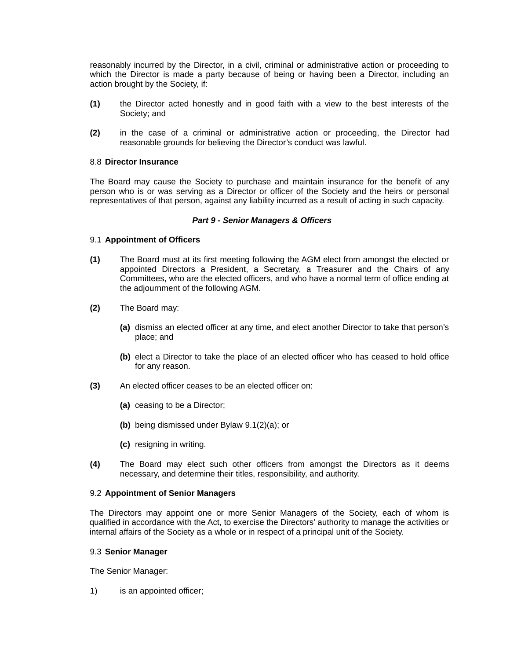reasonably incurred by the Director, in a civil, criminal or administrative action or proceeding to which the Director is made a party because of being or having been a Director, including an action brought by the Society, if:

- **(1)** the Director acted honestly and in good faith with a view to the best interests of the Society; and
- **(2)** in the case of a criminal or administrative action or proceeding, the Director had reasonable grounds for believing the Director's conduct was lawful.

#### <span id="page-19-3"></span>8.8 **Director Insurance**

The Board may cause the Society to purchase and maintain insurance for the benefit of any person who is or was serving as a Director or officer of the Society and the heirs or personal representatives of that person, against any liability incurred as a result of acting in such capacity.

#### <span id="page-19-2"></span>*Part 9 - Senior Managers & Officers*

## <span id="page-19-4"></span>9.1 **Appointment of Officers**

- **(1)** The Board must at its first meeting following the AGM elect from amongst the elected or appointed Directors a President, a Secretary, a Treasurer and the Chairs of any Committees, who are the elected officers, and who have a normal term of office ending at the adjournment of the following AGM.
- <span id="page-19-5"></span>**(2)** The Board may:
	- **(a)** dismiss an elected officer at any time, and elect another Director to take that person's place; and
	- **(b)** elect a Director to take the place of an elected officer who has ceased to hold office for any reason.
- **(3)** An elected officer ceases to be an elected officer on:
	- **(a)** ceasing to be a Director;
	- **(b)** being dismissed under Bylaw [9.1\(2\)\(a\);](#page-19-5) or
	- **(c)** resigning in writing.
- **(4)** The Board may elect such other officers from amongst the Directors as it deems necessary, and determine their titles, responsibility, and authority.

#### <span id="page-19-1"></span>9.2 **Appointment of Senior Managers**

The Directors may appoint one or more Senior Managers of the Society, each of whom is qualified in accordance with the Act, to exercise the Directors' authority to manage the activities or internal affairs of the Society as a whole or in respect of a principal unit of the Society.

#### <span id="page-19-0"></span>9.3 **Senior Manager**

The Senior Manager:

1) is an appointed officer;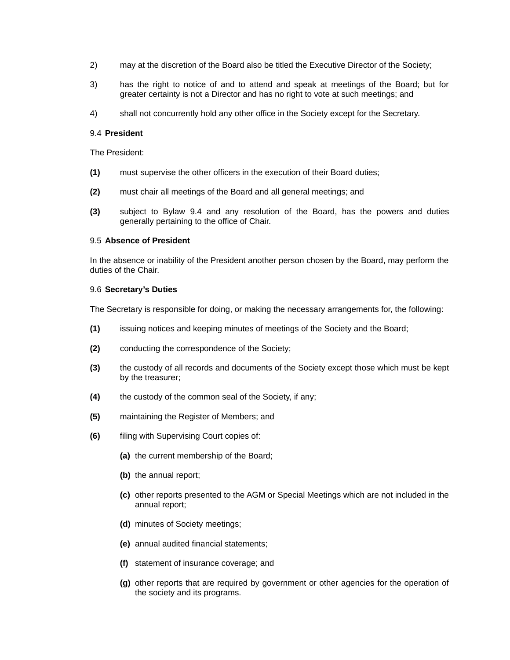- 2) may at the discretion of the Board also be titled the Executive Director of the Society;
- 3) has the right to notice of and to attend and speak at meetings of the Board; but for greater certainty is not a Director and has no right to vote at such meetings; and
- 4) shall not concurrently hold any other office in the Society except for the Secretary.

## <span id="page-20-2"></span>9.4 **President**

The President:

- **(1)** must supervise the other officers in the execution of their Board duties;
- **(2)** must chair all meetings of the Board and all general meetings; and
- **(3)** subject to Bylaw [9.4](#page-20-2) and any resolution of the Board, has the powers and duties generally pertaining to the office of Chair.

## <span id="page-20-1"></span>9.5 **Absence of President**

In the absence or inability of the President another person chosen by the Board, may perform the duties of the Chair.

## <span id="page-20-0"></span>9.6 **Secretary's Duties**

The Secretary is responsible for doing, or making the necessary arrangements for, the following:

- **(1)** issuing notices and keeping minutes of meetings of the Society and the Board;
- **(2)** conducting the correspondence of the Society;
- **(3)** the custody of all records and documents of the Society except those which must be kept by the treasurer;
- **(4)** the custody of the common seal of the Society, if any;
- **(5)** maintaining the Register of Members; and
- **(6)** filing with Supervising Court copies of:
	- **(a)** the current membership of the Board;
	- **(b)** the annual report;
	- **(c)** other reports presented to the AGM or Special Meetings which are not included in the annual report;
	- **(d)** minutes of Society meetings;
	- **(e)** annual audited financial statements;
	- **(f)** statement of insurance coverage; and
	- **(g)** other reports that are required by government or other agencies for the operation of the society and its programs.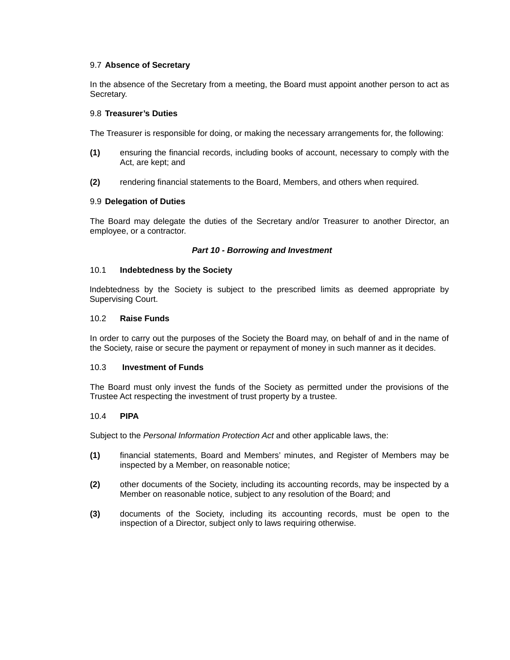## <span id="page-21-2"></span>9.7 **Absence of Secretary**

In the absence of the Secretary from a meeting, the Board must appoint another person to act as Secretary.

#### <span id="page-21-1"></span>9.8 **Treasurer's Duties**

The Treasurer is responsible for doing, or making the necessary arrangements for, the following:

- **(1)** ensuring the financial records, including books of account, necessary to comply with the Act, are kept; and
- **(2)** rendering financial statements to the Board, Members, and others when required.

#### <span id="page-21-0"></span>9.9 **Delegation of Duties**

The Board may delegate the duties of the Secretary and/or Treasurer to another Director, an employee, or a contractor.

#### <span id="page-21-7"></span>*Part 10 - Borrowing and Investment*

#### <span id="page-21-6"></span>10.1 **Indebtedness by the Society**

Indebtedness by the Society is subject to the prescribed limits as deemed appropriate by Supervising Court.

#### <span id="page-21-5"></span>10.2 **Raise Funds**

In order to carry out the purposes of the Society the Board may, on behalf of and in the name of the Society, raise or secure the payment or repayment of money in such manner as it decides.

#### <span id="page-21-4"></span>10.3 **Investment of Funds**

The Board must only invest the funds of the Society as permitted under the provisions of the Trustee Act respecting the investment of trust property by a trustee.

#### <span id="page-21-3"></span>10.4 **PIPA**

Subject to the *Personal Information Protection Act* and other applicable laws, the:

- **(1)** financial statements, Board and Members' minutes, and Register of Members may be inspected by a Member, on reasonable notice;
- **(2)** other documents of the Society, including its accounting records, may be inspected by a Member on reasonable notice, subject to any resolution of the Board; and
- **(3)** documents of the Society, including its accounting records, must be open to the inspection of a Director, subject only to laws requiring otherwise.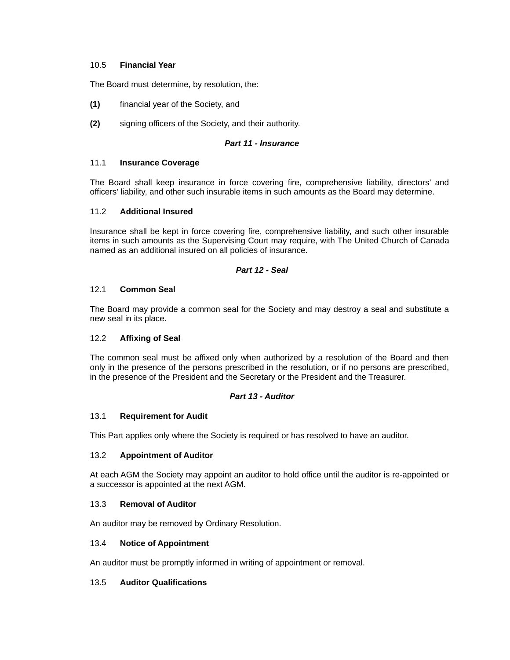## <span id="page-22-11"></span>10.5 **Financial Year**

The Board must determine, by resolution, the:

- **(1)** financial year of the Society, and
- **(2)** signing officers of the Society, and their authority.

## <span id="page-22-10"></span>*Part 11 - Insurance*

## <span id="page-22-9"></span>11.1 **Insurance Coverage**

The Board shall keep insurance in force covering fire, comprehensive liability, directors' and officers' liability, and other such insurable items in such amounts as the Board may determine.

## <span id="page-22-8"></span>11.2 **Additional Insured**

Insurance shall be kept in force covering fire, comprehensive liability, and such other insurable items in such amounts as the Supervising Court may require, with The United Church of Canada named as an additional insured on all policies of insurance.

## <span id="page-22-7"></span>*Part 12 - Seal*

## <span id="page-22-6"></span>12.1 **Common Seal**

The Board may provide a common seal for the Society and may destroy a seal and substitute a new seal in its place.

## <span id="page-22-5"></span>12.2 **Affixing of Seal**

The common seal must be affixed only when authorized by a resolution of the Board and then only in the presence of the persons prescribed in the resolution, or if no persons are prescribed, in the presence of the President and the Secretary or the President and the Treasurer.

## <span id="page-22-12"></span>*Part 13 - Auditor*

## <span id="page-22-4"></span>13.1 **Requirement for Audit**

This Part applies only where the Society is required or has resolved to have an auditor.

## <span id="page-22-3"></span>13.2 **Appointment of Auditor**

At each AGM the Society may appoint an auditor to hold office until the auditor is re-appointed or a successor is appointed at the next AGM.

## <span id="page-22-2"></span>13.3 **Removal of Auditor**

An auditor may be removed by Ordinary Resolution.

## <span id="page-22-1"></span>13.4 **Notice of Appointment**

An auditor must be promptly informed in writing of appointment or removal.

## <span id="page-22-0"></span>13.5 **Auditor Qualifications**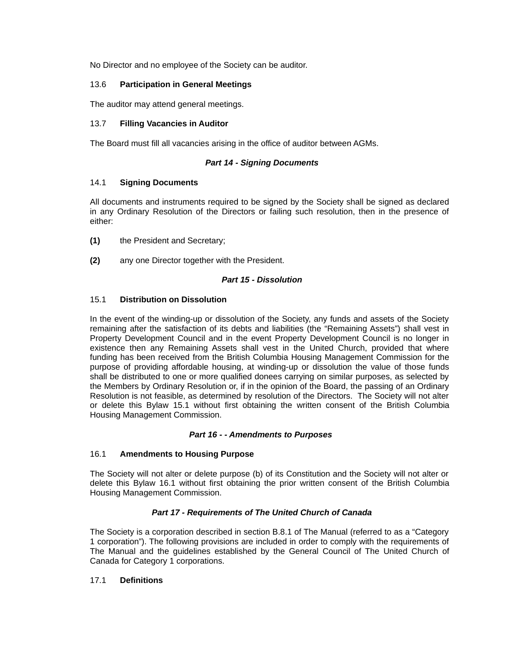No Director and no employee of the Society can be auditor.

## <span id="page-23-9"></span>13.6 **Participation in General Meetings**

The auditor may attend general meetings.

## <span id="page-23-8"></span>13.7 **Filling Vacancies in Auditor**

The Board must fill all vacancies arising in the office of auditor between AGMs.

## <span id="page-23-7"></span>*Part 14 - Signing Documents*

## <span id="page-23-6"></span>14.1 **Signing Documents**

All documents and instruments required to be signed by the Society shall be signed as declared in any Ordinary Resolution of the Directors or failing such resolution, then in the presence of either:

- **(1)** the President and Secretary;
- **(2)** any one Director together with the President.

## <span id="page-23-5"></span>*Part 15 - Dissolution*

## <span id="page-23-4"></span>15.1 **Distribution on Dissolution**

In the event of the winding-up or dissolution of the Society, any funds and assets of the Society remaining after the satisfaction of its debts and liabilities (the "Remaining Assets") shall vest in Property Development Council and in the event Property Development Council is no longer in existence then any Remaining Assets shall vest in the United Church, provided that where funding has been received from the British Columbia Housing Management Commission for the purpose of providing affordable housing, at winding-up or dissolution the value of those funds shall be distributed to one or more qualified donees carrying on similar purposes, as selected by the Members by Ordinary Resolution or, if in the opinion of the Board, the passing of an Ordinary Resolution is not feasible, as determined by resolution of the Directors. The Society will not alter or delete this Bylaw [15.1](#page-23-4) without first obtaining the written consent of the British Columbia Housing Management Commission.

## <span id="page-23-3"></span>*Part 16 - - Amendments to Purposes*

## <span id="page-23-2"></span>16.1 **Amendments to Housing Purpose**

The Society will not alter or delete purpose (b) of its Constitution and the Society will not alter or delete this Bylaw [16.1](#page-23-2) without first obtaining the prior written consent of the British Columbia Housing Management Commission.

## <span id="page-23-1"></span>*Part 17 - Requirements of The United Church of Canada*

The Society is a corporation described in section B.8.1 of The Manual (referred to as a "Category 1 corporation"). The following provisions are included in order to comply with the requirements of The Manual and the guidelines established by the General Council of The United Church of Canada for Category 1 corporations.

## <span id="page-23-0"></span>17.1 **Definitions**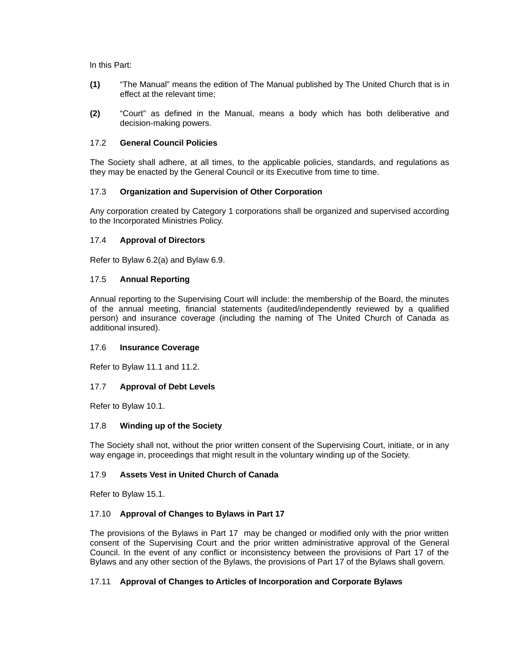In this Part:

- **(1)** "The Manual" means the edition of The Manual published by The United Church that is in effect at the relevant time;
- **(2)** "Court" as defined in the Manual, means a body which has both deliberative and decision-making powers.

## <span id="page-24-9"></span>17.2 **General Council Policies**

The Society shall adhere, at all times, to the applicable policies, standards, and regulations as they may be enacted by the General Council or its Executive from time to time.

## <span id="page-24-8"></span>17.3 **Organization and Supervision of Other Corporation**

Any corporation created by Category 1 corporations shall be organized and supervised according to the Incorporated Ministries Policy.

## <span id="page-24-7"></span>17.4 **Approval of Directors**

Refer to Bylaw 6.2(a) and Bylaw [6.9.](#page-15-0)

## <span id="page-24-6"></span>17.5 **Annual Reporting**

Annual reporting to the Supervising Court will include: the membership of the Board, the minutes of the annual meeting, financial statements (audited/independently reviewed by a qualified person) and insurance coverage (including the naming of The United Church of Canada as additional insured).

## <span id="page-24-5"></span>17.6 **Insurance Coverage**

Refer to Bylaw [11.1](#page-22-9) and [11.2.](#page-22-8)

## <span id="page-24-4"></span>17.7 **Approval of Debt Levels**

Refer to Bylaw [10.1.](#page-21-6)

## <span id="page-24-3"></span>17.8 **Winding up of the Society**

The Society shall not, without the prior written consent of the Supervising Court, initiate, or in any way engage in, proceedings that might result in the voluntary winding up of the Society.

## <span id="page-24-2"></span>17.9 **Assets Vest in United Church of Canada**

Refer to Bylaw [15.1.](#page-23-4)

## <span id="page-24-1"></span>17.10 **Approval of Changes to Bylaws in Part 17**

The provisions of the Bylaws in Part 17 may be changed or modified only with the prior written consent of the Supervising Court and the prior written administrative approval of the General Council. In the event of any conflict or inconsistency between the provisions of Part 17 of the Bylaws and any other section of the Bylaws, the provisions of Part 17 of the Bylaws shall govern.

## <span id="page-24-0"></span>17.11 **Approval of Changes to Articles of Incorporation and Corporate Bylaws**